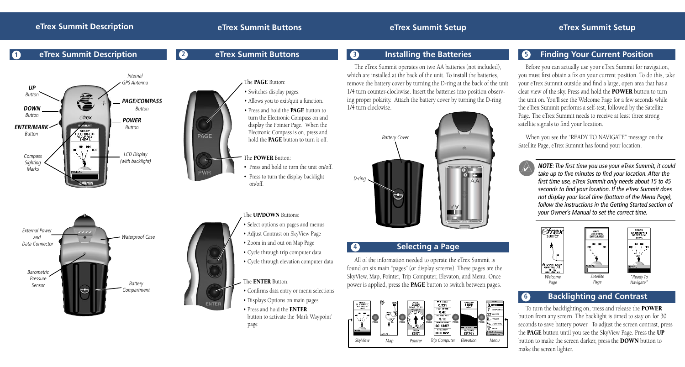**2 eTrex Summit Buttons**

PAGE

### **1 eTrex Summit Description**







### The **POWER** Button:

• Press and hold to turn the unit on/off. • Press to turn the display backlight on/off.

The UP/DOWN Buttons:

- Select options on pages and menus
- Adjust Contrast on SkyView Page
- Zoom in and out on Map Page
- Cycle through trip computer data • Cycle through elevation computer data

### The **ENTER** Button:

- Confirms data entry or menu selections
- Displays Options on main pages
- Press and hold the ENTER button to activate the 'Mark Waypoint' page

The eTrex Summit operates on two AA batteries (not included), which are installed at the back of the unit. To install the batteries, remove the battery cover by turning the D-ring at the back of the unit 1/4 turn counter-clockwise. Insert the batteries into position observing proper polarity. Attach the battery cover by turning the D-ring 1/4 turn clockwise.



### **4 Selecting a Page**

All of the information needed to operate the eTrex Summit is found on six main "pages" (or display screens). These pages are the SkyView, Map, Pointer, Trip Computer, Elevaton, and Menu. Once power is applied, press the PAGE button to switch between pages.



### **8 Installing the Batteries 1 8 Finding Your Current Position**

Before you can actually use your eTrex Summit for navigation, you must first obtain a fix on your current position. To do this, take your eTrex Summit outside and find a large, open area that has a clear view of the sky. Press and hold the POWER button to turn the unit on. You'll see the Welcome Page for a few seconds while the eTrex Summit performs a self-test, followed by the Satellite Page. The eTrex Summit needs to receive at least three strong satellite signals to find your location.

When you see the "READY TO NAVIGATE" message on the Satellite Page, eTrex Summit has found your location.

**NOTE**: The first time you use your eTrex Summit, it could take up to five minutes to find your location. After the first time use, eTrex Summit only needs about 15 to 45 seconds to find your location. If the eTrex Summit does not display your local time (bottom of the Menu Page), follow the instructions in the Getting Started section of your Owner's Manual to set the correct time.  $\triangle$ 



## **6 Backlighting and Contrast**

To turn the backlighting on, press and release the POWER button from any screen. The backlight is timed to stay on for 30 seconds to save battery power. To adjust the screen contrast, press the PAGE button until you see the SkyView Page. Press the UP button to make the screen darker, press the DOWN button to make the screen lighter.